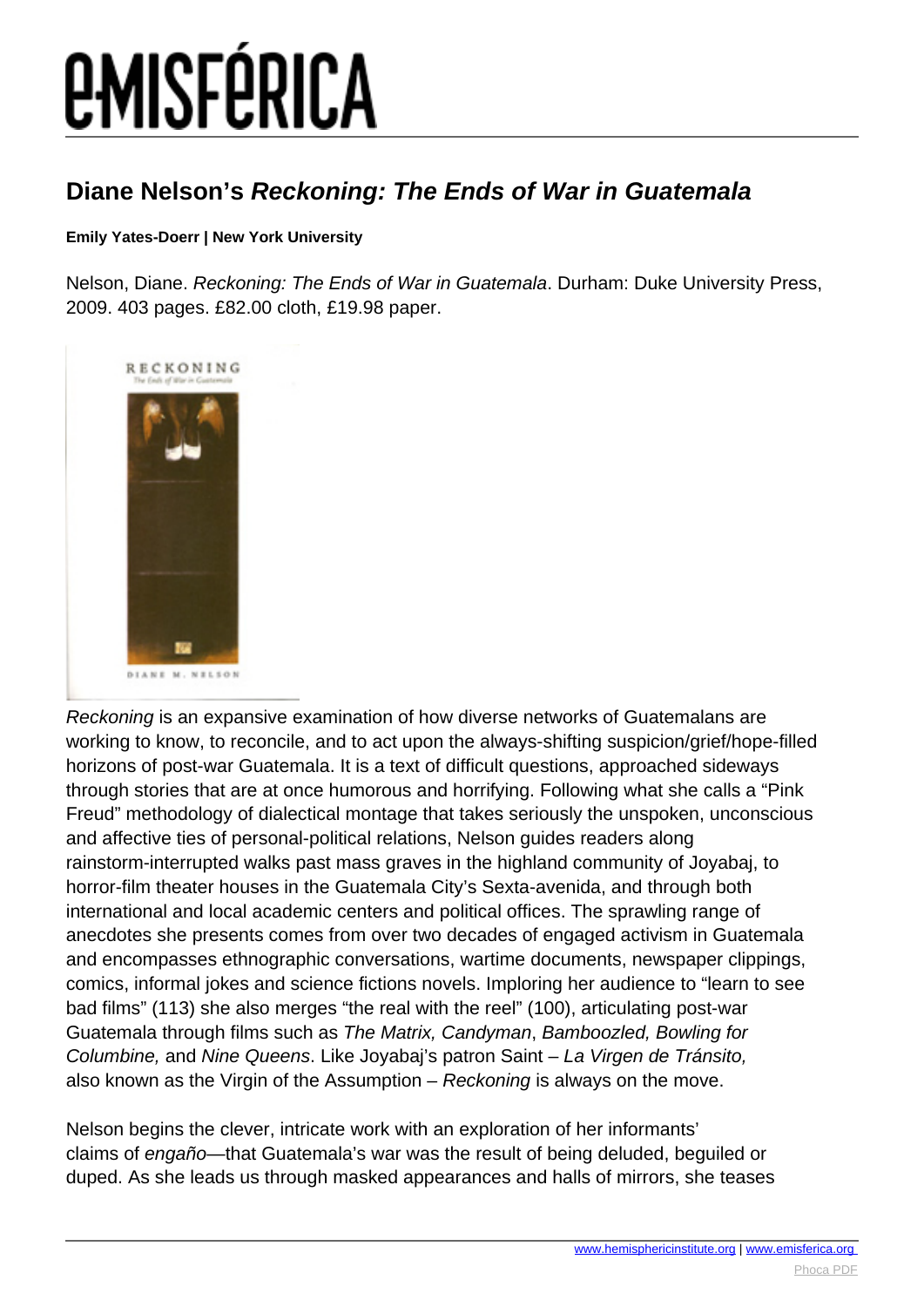# *EMISFÉRICA*

### **Diane Nelson's Reckoning: The Ends of War in Guatemala**

#### **Emily Yates-Doerr | New York University**

Nelson, Diane. Reckoning: The Ends of War in Guatemala. Durham: Duke University Press, 2009. 403 pages. £82.00 cloth, £19.98 paper.



Reckoning is an expansive examination of how diverse networks of Guatemalans are working to know, to reconcile, and to act upon the always-shifting suspicion/grief/hope-filled horizons of post-war Guatemala. It is a text of difficult questions, approached sideways through stories that are at once humorous and horrifying. Following what she calls a "Pink Freud" methodology of dialectical montage that takes seriously the unspoken, unconscious and affective ties of personal-political relations, Nelson guides readers along rainstorm-interrupted walks past mass graves in the highland community of Joyabaj, to horror-film theater houses in the Guatemala City's Sexta-avenida, and through both international and local academic centers and political offices. The sprawling range of anecdotes she presents comes from over two decades of engaged activism in Guatemala and encompasses ethnographic conversations, wartime documents, newspaper clippings, comics, informal jokes and science fictions novels. Imploring her audience to "learn to see bad films" (113) she also merges "the real with the reel" (100), articulating post-war Guatemala through films such as The Matrix, Candyman, Bamboozled, Bowling for Columbine, and Nine Queens. Like Joyabaj's patron Saint – La Virgen de Tránsito, also known as the Virgin of the Assumption – Reckoning is always on the move.

Nelson begins the clever, intricate work with an exploration of her informants' claims of engaño—that Guatemala's war was the result of being deluded, beguiled or duped. As she leads us through masked appearances and halls of mirrors, she teases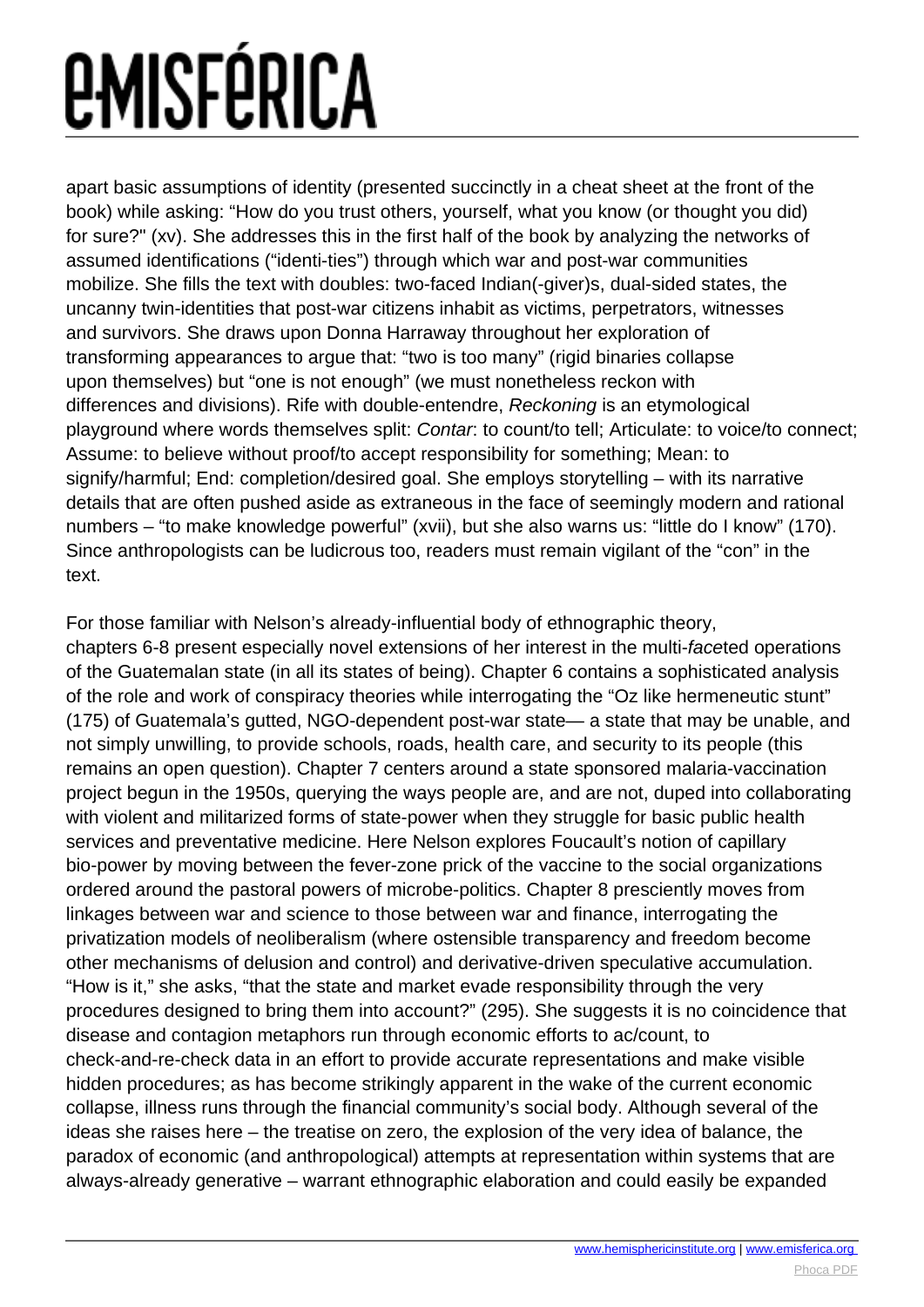# *<u>EMISFÉRICA</u>*

apart basic assumptions of identity (presented succinctly in a cheat sheet at the front of the book) while asking: "How do you trust others, yourself, what you know (or thought you did) for sure?" (xv). She addresses this in the first half of the book by analyzing the networks of assumed identifications ("identi-ties") through which war and post-war communities mobilize. She fills the text with doubles: two-faced Indian(-giver)s, dual-sided states, the uncanny twin-identities that post-war citizens inhabit as victims, perpetrators, witnesses and survivors. She draws upon Donna Harraway throughout her exploration of transforming appearances to argue that: "two is too many" (rigid binaries collapse upon themselves) but "one is not enough" (we must nonetheless reckon with differences and divisions). Rife with double-entendre, Reckoning is an etymological playground where words themselves split: Contar: to count/to tell; Articulate: to voice/to connect; Assume: to believe without proof/to accept responsibility for something; Mean: to signify/harmful; End: completion/desired goal. She employs storytelling – with its narrative details that are often pushed aside as extraneous in the face of seemingly modern and rational numbers – "to make knowledge powerful" (xvii), but she also warns us: "little do I know" (170). Since anthropologists can be ludicrous too, readers must remain vigilant of the "con" in the text.

For those familiar with Nelson's already-influential body of ethnographic theory, chapters 6-8 present especially novel extensions of her interest in the multi-faceted operations of the Guatemalan state (in all its states of being). Chapter 6 contains a sophisticated analysis of the role and work of conspiracy theories while interrogating the "Oz like hermeneutic stunt" (175) of Guatemala's gutted, NGO-dependent post-war state— a state that may be unable, and not simply unwilling, to provide schools, roads, health care, and security to its people (this remains an open question). Chapter 7 centers around a state sponsored malaria-vaccination project begun in the 1950s, querying the ways people are, and are not, duped into collaborating with violent and militarized forms of state-power when they struggle for basic public health services and preventative medicine. Here Nelson explores Foucault's notion of capillary bio-power by moving between the fever-zone prick of the vaccine to the social organizations ordered around the pastoral powers of microbe-politics. Chapter 8 presciently moves from linkages between war and science to those between war and finance, interrogating the privatization models of neoliberalism (where ostensible transparency and freedom become other mechanisms of delusion and control) and derivative-driven speculative accumulation. "How is it," she asks, "that the state and market evade responsibility through the very procedures designed to bring them into account?" (295). She suggests it is no coincidence that disease and contagion metaphors run through economic efforts to ac/count, to check-and-re-check data in an effort to provide accurate representations and make visible hidden procedures; as has become strikingly apparent in the wake of the current economic collapse, illness runs through the financial community's social body. Although several of the ideas she raises here – the treatise on zero, the explosion of the very idea of balance, the paradox of economic (and anthropological) attempts at representation within systems that are always-already generative – warrant ethnographic elaboration and could easily be expanded